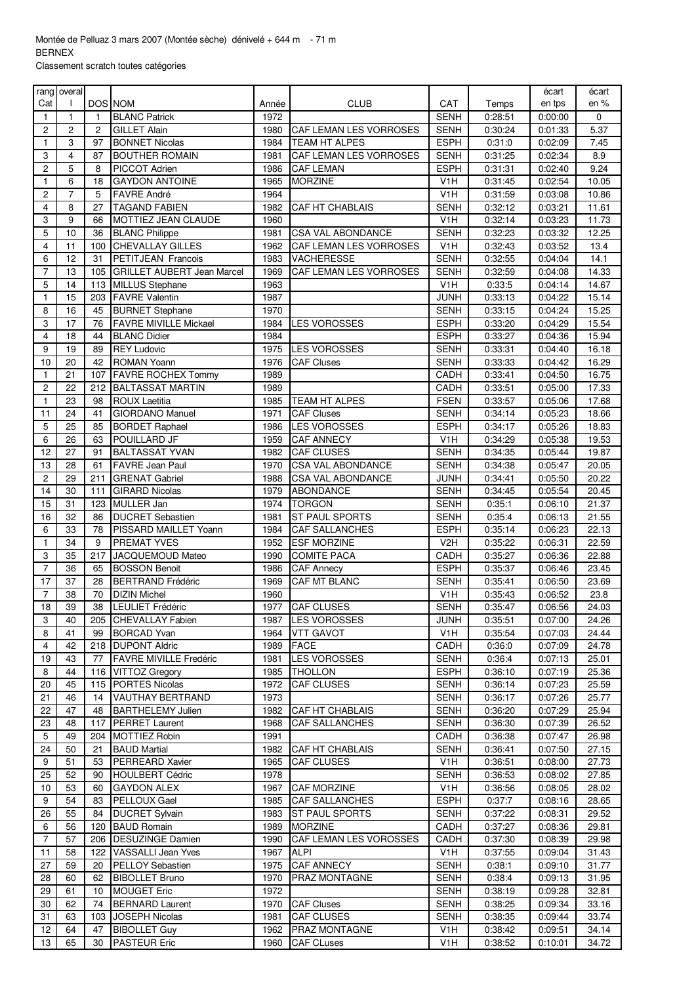Classement scratch toutes catégories

|                 | rang overal    |                |                                   |       |                                                    |                  |         | écart   | écart  |
|-----------------|----------------|----------------|-----------------------------------|-------|----------------------------------------------------|------------------|---------|---------|--------|
| Cat             |                | <b>DOS NOM</b> |                                   | Année | <b>CLUB</b>                                        | CAT              | Temps   | en tps  | en $%$ |
| 1               | $\mathbf{1}$   | $\mathbf{1}$   | <b>BLANC Patrick</b>              | 1972  |                                                    | <b>SENH</b>      | 0:28:51 | 0:00:00 | 0      |
| 2               | $\overline{2}$ | $\overline{2}$ | <b>GILLET Alain</b>               | 1980  | CAF LEMAN LES VORROSES                             | <b>SENH</b>      | 0:30:24 | 0:01:33 | 5.37   |
| 1               | 3              | 97             | <b>BONNET Nicolas</b>             | 1984  | TEAM HT ALPES                                      | <b>ESPH</b>      | 0.31:0  | 0:02:09 | 7.45   |
| 3               | $\overline{4}$ | 87             | <b>BOUTHER ROMAIN</b>             | 1981  | CAF LEMAN LES VORROSES                             | <b>SENH</b>      | 0:31:25 | 0:02:34 | 8.9    |
| 2               | 5              | 8              | PICCOT Adrien                     | 1986  | <b>CAF LEMAN</b>                                   | <b>ESPH</b>      | 0:31:31 | 0.02:40 | 9.24   |
| 1               | 6              | 18             | <b>GAYDON ANTOINE</b>             | 1965  | <b>MORZINE</b>                                     | V <sub>1</sub> H | 0:31:45 | 0:02:54 | 10.05  |
| 2               | $\overline{7}$ | 5              | <b>FAVRE André</b>                | 1964  |                                                    | V <sub>1</sub> H | 0:31:59 | 0:03:08 | 10.86  |
| 4               | 8              | 27             | <b>TAGAND FABIEN</b>              | 1982  | CAF HT CHABLAIS                                    | <b>SENH</b>      | 0:32:12 |         | 11.61  |
| 3               | 9              |                |                                   |       |                                                    | V <sub>1</sub> H |         | 0:03:21 | 11.73  |
| 5               | 10             | 66             | MOTTIEZ JEAN CLAUDE               | 1960  |                                                    |                  | 0:32:14 | 0:03:23 |        |
|                 |                | 36             | <b>BLANC Philippe</b>             | 1981  | <b>CSA VAL ABONDANCE</b><br>CAF LEMAN LES VORROSES | <b>SENH</b>      | 0:32:23 | 0:03:32 | 12.25  |
| 4               | 11             | 100            | <b>CHEVALLAY GILLES</b>           | 1962  |                                                    | V <sub>1</sub> H | 0:32:43 | 0:03:52 | 13.4   |
| 6               | 12             | 31             | PETITJEAN Francois                | 1983  | VACHERESSE                                         | <b>SENH</b>      | 0:32:55 | 0:04:04 | 14.1   |
| $\overline{7}$  | 13             | 105            | <b>GRILLET AUBERT Jean Marcel</b> | 1969  | CAF LEMAN LES VORROSES                             | <b>SENH</b>      | 0:32:59 | 0:04:08 | 14.33  |
| 5               | 14             | 113            | <b>MILLUS Stephane</b>            | 1963  |                                                    | V <sub>1</sub> H | 0:33:5  | 0:04:14 | 14.67  |
| 1               | 15             | 203            | <b>FAVRE Valentin</b>             | 1987  |                                                    | <b>JUNH</b>      | 0:33:13 | 0:04:22 | 15.14  |
| 8               | 16             | 45             | <b>BURNET Stephane</b>            | 1970  |                                                    | <b>SENH</b>      | 0:33:15 | 0:04:24 | 15.25  |
| 3               | 17             | 76             | <b>FAVRE MIVILLE Mickael</b>      | 1984  | <b>LES VOROSSES</b>                                | <b>ESPH</b>      | 0:33:20 | 0:04:29 | 15.54  |
| 4               | 18             | 44             | <b>BLANC Didier</b>               | 1984  |                                                    | <b>ESPH</b>      | 0:33:27 | 0:04:36 | 15.94  |
| 9               | 19             | 89             | <b>REY Ludovic</b>                | 1975  | <b>LES VOROSSES</b>                                | <b>SENH</b>      | 0:33:31 | 0:04:40 | 16.18  |
| 10              | 20             | 42             | <b>ROMAN Yoann</b>                | 1976  | <b>CAF Cluses</b>                                  | <b>SENH</b>      | 0:33:33 | 0:04:42 | 16.29  |
| 1               | 21             | 107            | <b>FAVRE ROCHEX Tommy</b>         | 1989  |                                                    | CADH             | 0:33:41 | 0:04:50 | 16.75  |
| $\overline{c}$  | 22             | 212            | <b>BALTASSAT MARTIN</b>           | 1989  |                                                    | CADH             | 0:33:51 | 0:05:00 | 17.33  |
| $\mathbf{1}$    | 23             | 98             | <b>ROUX Laetitia</b>              | 1985  | TEAM HT ALPES                                      | <b>FSEN</b>      | 0:33:57 | 0:05:06 | 17.68  |
| 11              | 24             | 41             | <b>GIORDANO Manuel</b>            | 1971  | <b>CAF Cluses</b>                                  | <b>SENH</b>      | 0:34:14 | 0:05:23 | 18.66  |
| 5               | 25             | 85             | <b>BORDET Raphael</b>             | 1986  | <b>LES VOROSSES</b>                                | <b>ESPH</b>      | 0:34:17 | 0:05:26 | 18.83  |
| 6               | 26             | 63             | POUILLARD JF                      | 1959  | <b>CAF ANNECY</b>                                  | V <sub>1</sub> H | 0:34:29 | 0:05:38 | 19.53  |
| 12              | 27             | 91             | <b>BALTASSAT YVAN</b>             | 1982  | <b>CAF CLUSES</b>                                  | <b>SENH</b>      | 0:34:35 | 0:05:44 | 19.87  |
| 13              | 28             | 61             | <b>FAVRE Jean Paul</b>            | 1970  | CSA VAL ABONDANCE                                  | <b>SENH</b>      | 0:34:38 | 0:05:47 | 20.05  |
| 2               | 29             | 211            | <b>GRENAT Gabriel</b>             | 1988  | <b>CSA VAL ABONDANCE</b>                           | <b>JUNH</b>      | 0:34:41 | 0:05:50 | 20.22  |
| 14              | 30             | 111            | <b>GIRARD Nicolas</b>             | 1979  | <b>ABONDANCE</b>                                   | <b>SENH</b>      | 0:34:45 | 0:05:54 | 20.45  |
| 15              | 31             | 123            | <b>MULLER Jan</b>                 | 1974  | TORGON                                             | <b>SENH</b>      | 0:35:1  | 0:06:10 | 21.37  |
| 16              | 32             | 86             | <b>DUCRET Sebastien</b>           | 1981  | <b>ST PAUL SPORTS</b>                              | <b>SENH</b>      | 0:35:4  | 0:06:13 | 21.55  |
| 6               | 33             | 78             | PISSARD MAILLET Yoann             | 1984  | <b>CAF SALLANCHES</b>                              | <b>ESPH</b>      | 0:35:14 | 0:06:23 | 22.13  |
| 1               | 34             | 9              | PREMAT YVES                       | 1952  | <b>ESF MORZINE</b>                                 | V <sub>2</sub> H | 0:35:22 | 0:06:31 | 22.59  |
| 3               | 35             | 217            | <b>JACQUEMOUD Mateo</b>           | 1990  | <b>COMITE PACA</b>                                 | CADH             | 0:35:27 | 0:06:36 | 22.88  |
| 7               | 36             | 65             | <b>BOSSON Benoit</b>              | 1986  | <b>CAF Annecy</b>                                  | <b>ESPH</b>      | 0:35:37 | 0:06:46 | 23.45  |
| 17              | 37             | 28             | <b>BERTRAND Frédéric</b>          | 1969  | CAF MT BLANC                                       | <b>SENH</b>      | 0:35:41 | 0:06:50 | 23.69  |
| $\overline{7}$  | 38             | 70             | <b>DIZIN Michel</b>               | 1960  |                                                    | V <sub>1</sub> H | 0:35:43 | 0:06:52 | 23.8   |
| $\overline{18}$ | 39             |                | 38 LEULIET Frédéric               |       | 1977 CAF CLUSES                                    | <b>SENH</b>      | 0:35:47 | 0:06:56 | 24.03  |
| 3               | 40             | 205            | <b>CHEVALLAY Fabien</b>           | 1987  | <b>LES VOROSSES</b>                                | JUNH             | 0:35:51 | 0:07:00 | 24.26  |
| 8               | 41             | 99             | <b>BORCAD Yvan</b>                | 1964  | <b>VTT GAVOT</b>                                   | V <sub>1</sub> H | 0:35:54 | 0:07:03 | 24.44  |
| 4               | 42             | 218            | <b>DUPONT Aldric</b>              | 1989  | <b>FACE</b>                                        | CADH             | 0:36:0  | 0:07:09 | 24.78  |
| 19              | 43             | 77             | <b>FAVRE MIVILLE Fredéric</b>     | 1981  | <b>LES VOROSSES</b>                                | <b>SENH</b>      | 0.36.4  | 0:07:13 | 25.01  |
| 8               | 44             | 116            | <b>VITTOZ Gregory</b>             | 1985  | THOLLON                                            | <b>ESPH</b>      | 0:36:10 | 0:07:19 | 25.36  |
| 20              | 45             | 115            | <b>PORTES Nicolas</b>             | 1972  | CAF CLUSES                                         | <b>SENH</b>      | 0:36:14 | 0:07:23 | 25.59  |
| 21              | 46             | 14             | <b>VAUTHAY BERTRAND</b>           | 1973  |                                                    | <b>SENH</b>      | 0:36:17 | 0:07:26 | 25.77  |
| 22              | 47             | 48             | <b>BARTHELEMY Julien</b>          | 1982  | CAF HT CHABLAIS                                    | <b>SENH</b>      | 0:36:20 | 0:07:29 | 25.94  |
| 23              | 48             | 117            | <b>PERRET Laurent</b>             | 1968  | <b>CAF SALLANCHES</b>                              | <b>SENH</b>      | 0:36:30 | 0:07:39 | 26.52  |
| 5               | 49             | 204            | <b>MOTTIEZ Robin</b>              | 1991  |                                                    | CADH             | 0:36:38 | 0:07:47 | 26.98  |
| 24              | 50             | 21             | <b>BAUD Martial</b>               | 1982  | CAF HT CHABLAIS                                    | <b>SENH</b>      | 0.36.41 | 0:07:50 | 27.15  |
| 9               | 51             | 53             | <b>PERREARD Xavier</b>            | 1965  | <b>CAF CLUSES</b>                                  | V <sub>1</sub> H | 0:36:51 | 0:08:00 | 27.73  |
| 25              | 52             | 90             | <b>HOULBERT Cédric</b>            | 1978  |                                                    | <b>SENH</b>      | 0:36:53 | 0:08:02 | 27.85  |
|                 |                |                |                                   |       |                                                    |                  |         |         |        |
| 10              | 53<br>54       | 60             | <b>GAYDON ALEX</b>                | 1967  | CAF MORZINE                                        | V <sub>1</sub> H | 0:36:56 | 0:08:05 | 28.02  |
| 9               |                | 83             | PELLOUX Gael                      | 1985  | <b>CAF SALLANCHES</b>                              | <b>ESPH</b>      | 0:37:7  | 0:08:16 | 28.65  |
| 26              | 55             | 84             | <b>DUCRET Sylvain</b>             | 1983  | <b>ST PAUL SPORTS</b>                              | SENH             | 0:37:22 | 0:08:31 | 29.52  |
| 6               | 56             | 120            | <b>BAUD Romain</b>                | 1989  | <b>MORZINE</b>                                     | CADH             | 0:37:27 | 0:08:36 | 29.81  |
| $\overline{7}$  | 57             | 206            | <b>DESUZINGE Damien</b>           | 1990  | CAF LEMAN LES VOROSSES                             | CADH             | 0:37:30 | 0:08:39 | 29.98  |
| 11              | 58             | 122            | <b>VASSALLI Jean Yves</b>         | 1967  | ALPI                                               | V <sub>1</sub> H | 0:37:55 | 0:09:04 | 31.43  |
| 27              | 59             | 20             | <b>PELLOY Sebastien</b>           | 1975  | <b>CAF ANNECY</b>                                  | <b>SENH</b>      | 0:38:1  | 0:09:10 | 31.77  |
| 28              | 60             | 62             | <b>BIBOLLET Bruno</b>             | 1970  | PRAZ MONTAGNE                                      | <b>SENH</b>      | 0.38.4  | 0:09:13 | 31.95  |
| 29              | 61             | 10             | <b>MOUGET Eric</b>                | 1972  |                                                    | <b>SENH</b>      | 0:38:19 | 0:09:28 | 32.81  |
| 30              | 62             | 74             | <b>BERNARD Laurent</b>            | 1970  | <b>CAF Cluses</b>                                  | <b>SENH</b>      | 0:38:25 | 0:09:34 | 33.16  |
| 31              | 63             | 103            | JOSEPH Nicolas                    | 1981  | <b>CAF CLUSES</b>                                  | <b>SENH</b>      | 0:38:35 | 0:09:44 | 33.74  |
| 12              | 64             | 47             | <b>BIBOLLET Guy</b>               | 1962  | PRAZ MONTAGNE                                      | V <sub>1</sub> H | 0:38:42 | 0:09:51 | 34.14  |
| 13              | 65             | 30             | <b>PASTEUR Eric</b>               | 1960  | <b>CAF CLuses</b>                                  | V <sub>1</sub> H | 0:38:52 | 0:10:01 | 34.72  |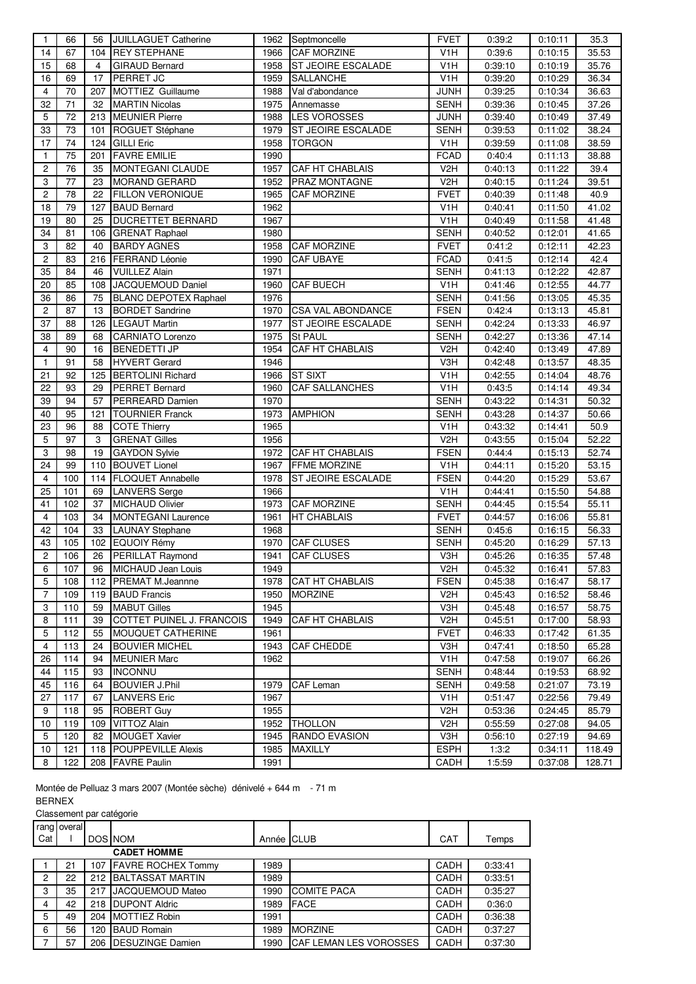| $\overline{1}$          | 66              | 56             | <b>JUILLAGUET Catherine</b>              | 1962 | Septmoncelle              | <b>FVET</b>      | 0:39:2             | 0.10.11            | 35.3           |
|-------------------------|-----------------|----------------|------------------------------------------|------|---------------------------|------------------|--------------------|--------------------|----------------|
| 14                      | 67              | 104            | <b>REY STEPHANE</b>                      | 1966 | <b>CAF MORZINE</b>        | V <sub>1</sub> H | 0:39:6             | 0:10:15            | 35.53          |
| 15                      | 68              | $\overline{4}$ | <b>GIRAUD Bernard</b>                    | 1958 | <b>ST JEOIRE ESCALADE</b> | V <sub>1</sub> H | 0:39:10            | 0:10:19            | 35.76          |
| 16                      | 69              | 17             | PERRET JC                                | 1959 | <b>SALLANCHE</b>          | V1H              | 0:39:20            | 0.10.29            | 36.34          |
| 4                       | 70              | 207            | MOTTIEZ Guillaume                        | 1988 | Val d'abondance           | <b>JUNH</b>      | 0:39:25            | 0:10:34            | 36.63          |
| 32                      | 71              | 32             | <b>MARTIN Nicolas</b>                    | 1975 | Annemasse                 | <b>SENH</b>      | 0:39:36            | 0:10:45            | 37.26          |
| 5                       | 72              | 213            | <b>MEUNIER Pierre</b>                    | 1988 | <b>LES VOROSSES</b>       | <b>JUNH</b>      | 0:39:40            | 0:10:49            | 37.49          |
| 33                      | 73              | 101            | ROGUET Stéphane                          | 1979 | <b>ST JEOIRE ESCALADE</b> | <b>SENH</b>      | 0:39:53            | 0:11:02            | 38.24          |
| 17                      | 74              | 124            | <b>GILLI Eric</b>                        | 1958 | <b>TORGON</b>             | V <sub>1</sub> H | 0:39:59            | 0:11:08            | 38.59          |
| 1                       | 75              | 201            | <b>FAVRE EMILIE</b>                      | 1990 |                           | <b>FCAD</b>      | 0:40:4             | 0:11:13            | 38.88          |
| $\overline{c}$          | 76              | 35             | MONTEGANI CLAUDE                         | 1957 | CAF HT CHABLAIS           | V2H              | 0:40:13            | 0:11:22            | 39.4           |
| 3                       | 77              | 23             | <b>MORAND GERARD</b>                     | 1952 | PRAZ MONTAGNE             | V2H              | 0:40:15            | 0:11:24            | 39.51          |
| $\overline{c}$          | 78              | 22             | <b>FILLON VERONIQUE</b>                  | 1965 | <b>CAF MORZINE</b>        | <b>FVET</b>      | 0:40:39            | 0:11:48            | 40.9           |
| 18                      | 79              | 127            | <b>BAUD Bernard</b>                      | 1962 |                           | V <sub>1</sub> H | 0:40:41            | 0:11:50            | 41.02          |
| 19                      | 80              | 25             | <b>DUCRETTET BERNARD</b>                 | 1967 |                           | V <sub>1</sub> H | 0:40:49            | 0:11:58            | 41.48          |
| 34                      | 81              | 106            | <b>GRENAT Raphael</b>                    | 1980 |                           | <b>SENH</b>      | 0:40:52            | 0:12:01            | 41.65          |
| 3                       | 82              | 40             | <b>BARDY AGNES</b>                       | 1958 | CAF MORZINE               | <b>FVET</b>      | 0:41:2             | 0:12:11            | 42.23          |
| $\overline{\mathbf{c}}$ | 83              | 216            | <b>FERRAND Léonie</b>                    | 1990 | <b>CAF UBAYE</b>          | <b>FCAD</b>      | 0.41.5             | 0:12:14            | 42.4           |
| 35                      | 84              | 46             | <b>VUILLEZ Alain</b>                     | 1971 |                           | <b>SENH</b>      | 0:41:13            | 0:12:22            | 42.87          |
| 20                      | 85              | 108            | JACQUEMOUD Daniel                        | 1960 | <b>CAF BUECH</b>          | V <sub>1</sub> H | 0.41:46            | 0:12:55            | 44.77          |
| 36                      | 86              | 75             | <b>BLANC DEPOTEX Raphael</b>             | 1976 |                           | <b>SENH</b>      | 0:41:56            | 0:13:05            | 45.35          |
| $\overline{c}$          | 87              | 13             | <b>BORDET</b> Sandrine                   | 1970 | <b>CSA VAL ABONDANCE</b>  | <b>FSEN</b>      | 0.42.4             | 0:13:13            | 45.81          |
| 37                      | 88              | 126            | <b>LEGAUT Martin</b>                     | 1977 | ST JEOIRE ESCALADE        | <b>SENH</b>      | 0:42:24            | 0:13:33            | 46.97          |
| 38                      | 89              | 68             | <b>CARNIATO Lorenzo</b>                  | 1975 | <b>St PAUL</b>            | SENH             | 0:42:27            | 0:13:36            | 47.14          |
| 4                       | 90              | 16             | <b>BENEDETTI JP</b>                      | 1954 | CAF HT CHABLAIS           | V2H              | 0:42:40            | 0:13:49            | 47.89          |
| $\mathbf{1}$            | 91              | 58             | <b>HYVERT Gerard</b>                     | 1946 |                           | V3H              | 0:42:48            | 0:13:57            | 48.35          |
| 21                      | 92              | 125            | <b>BERTOLINI Richard</b>                 | 1966 | <b>ST SIXT</b>            | V <sub>1</sub> H | 0:42:55            | 0:14:04            | 48.76          |
| 22                      | 93              | 29             | <b>PERRET Bernard</b>                    | 1960 | <b>CAF SALLANCHES</b>     | V <sub>1</sub> H | 0:43:5             | 0.14.14            | 49.34          |
| 39                      | 94              | 57             | <b>PERREARD Damien</b>                   | 1970 |                           | <b>SENH</b>      | 0:43:22            | 0.14:31            | 50.32          |
| 40                      | 95              | 121            | <b>TOURNIER Franck</b>                   | 1973 | <b>AMPHION</b>            | <b>SENH</b>      | 0:43:28            | 0:14:37            | 50.66          |
| 23                      | 96              | 88             | <b>COTE Thierry</b>                      | 1965 |                           | V <sub>1</sub> H | 0:43:32            | 0.14.41            | 50.9           |
| 5                       | 97              | 3              | <b>GRENAT Gilles</b>                     | 1956 |                           | V <sub>2</sub> H | 0:43:55            | 0:15:04            | 52.22          |
| 3                       | 98              | 19             | <b>GAYDON Sylvie</b>                     | 1972 | CAF HT CHABLAIS           | <b>FSEN</b>      | 0.44.4             | 0:15:13            | 52.74          |
| 24                      | 99              | 110            | <b>BOUVET Lionel</b>                     | 1967 | <b>FFME MORZINE</b>       | V <sub>1</sub> H | 0.44.11            | 0:15:20            | 53.15          |
| 4                       | 100             | 114            | <b>FLOQUET Annabelle</b>                 | 1978 | <b>ST JEOIRE ESCALADE</b> | <b>FSEN</b>      | 0:44:20            | 0:15:29            | 53.67          |
| 25                      | 101             | 69             | <b>LANVERS</b> Serge                     | 1966 |                           | V <sub>1</sub> H | 0:44:41            | 0:15:50            | 54.88          |
| 41                      | 102             | 37             | MICHAUD Olivier                          | 1973 | <b>CAF MORZINE</b>        | SENH             | 0:44:45            | 0:15:54            | 55.11          |
| $\overline{4}$          | 103             | 34             | MONTEGANI Laurence                       | 1961 | <b>HT CHABLAIS</b>        | <b>FVET</b>      | 0:44.57            | 0:16:06            | 55.81          |
| 42                      | 104             | 33             | LAUNAY Stephane                          | 1968 |                           | <b>SENH</b>      | 0.45.6             | 0:16:15            | 56.33          |
| 43                      | 105             |                | 102 EQUOIY Rémy                          | 1970 | <b>CAF CLUSES</b>         | <b>SENH</b>      | 0:45:20            | 0:16:29            | 57.13          |
| $\mathbf 2$             | $\frac{106}{2}$ |                | 26 PERILLAT Raymond                      |      | 1941 CAF CLUSES           | V3H              | 0:45:26            | 0:16:35            | 57.48          |
| 6                       | 107             | 96             | MICHAUD Jean Louis                       | 1949 |                           | V <sub>2</sub> H | 0:45:32            | 0:16:41            | 57.83          |
| 5                       | 108             | 112            | <b>PREMAT M.Jeannne</b>                  | 1978 | <b>CAT HT CHABLAIS</b>    | <b>FSEN</b>      | 0:45:38            | 0:16:47            | 58.17          |
| 7                       | 109             | 119            | <b>BAUD Francis</b>                      | 1950 | <b>MORZINE</b>            | V <sub>2</sub> H | 0:45:43            | 0:16:52            | 58.46          |
| 3                       | 110             | 59             | <b>MABUT Gilles</b>                      | 1945 |                           | V3H              | 0.45.48            | 0:16:57            | 58.75          |
| 8                       | 111             | 39             | COTTET PUINEL J. FRANCOIS                | 1949 | CAF HT CHABLAIS           | V <sub>2</sub> H | 0:45.51            | 0:17:00            | 58.93          |
| 5                       | 112             | 55             | MOUQUET CATHERINE                        | 1961 |                           | <b>FVET</b>      | 0:46:33            | 0:17:42            | 61.35          |
| 4                       | 113             | 24             | <b>BOUVIER MICHEL</b>                    | 1943 | <b>CAF CHEDDE</b>         | V3H              | 0:47:41            | 0:18:50            | 65.28          |
| 26                      | 114             | 94             | <b>MEUNIER Marc</b>                      | 1962 |                           | V <sub>1</sub> H | 0:47:58            | 0:19:07            | 66.26          |
| 44                      | 115             | 93             | <b>INCONNU</b>                           |      |                           | <b>SENH</b>      | 0:48:44            | 0:19:53            | 68.92          |
| 45                      | 116             | 64             | <b>BOUVIER J.Phil</b>                    | 1979 | CAF Leman                 | <b>SENH</b>      | 0:49:58            | 0:21:07            | 73.19          |
| 27                      | 117             | 67             | <b>LANVERS</b> Eric                      | 1967 |                           | V <sub>1</sub> H | 0:51:47            | 0:22:56            | 79.49          |
| 9                       | 118             | 95             |                                          | 1955 |                           | V <sub>2</sub> H |                    |                    |                |
| 10                      | 119             | 109            | <b>ROBERT Guy</b><br><b>VITTOZ Alain</b> | 1952 | <b>THOLLON</b>            | V2H              | 0:53:36<br>0:55:59 | 0:24:45<br>0:27:08 | 85.79<br>94.05 |
| 5                       | 120             | 82             | <b>MOUGET Xavier</b>                     | 1945 | RANDO EVASION             | V3H              |                    | 0:27:19            | 94.69          |
| 10                      | 121             | 118            | <b>POUPPEVILLE Alexis</b>                | 1985 | MAXILLY                   | <b>ESPH</b>      | 0:56:10<br>1:3:2   | 0:34:11            | 118.49         |
|                         | 122             |                | <b>FAVRE Paulin</b>                      | 1991 |                           |                  |                    |                    |                |
| 8                       |                 | 208            |                                          |      |                           | CADH             | 1:5:59             | 0:37:08            | 128.71         |

Montée de Pelluaz 3 mars 2007 (Montée sèche) dénivelé + 644 m - 71 m BERNEX

Classement par catégorie

|                | rang overal        |     |                        |            |                               |            |         |  |
|----------------|--------------------|-----|------------------------|------------|-------------------------------|------------|---------|--|
| Cat            |                    |     | <b>DOS NOM</b>         | Année CLUB |                               | <b>CAT</b> | Temps   |  |
|                | <b>CADET HOMME</b> |     |                        |            |                               |            |         |  |
|                | 21                 |     | 107 FAVRE ROCHEX Tommy | 1989       |                               | CADH       | 0:33:41 |  |
| $\overline{c}$ | 22                 |     | 212 BALTASSAT MARTIN   | 1989       |                               | CADH       | 0:33:51 |  |
| 3              | 35                 |     | 217 JACQUEMOUD Mateo   | 1990       | <b>COMITE PACA</b>            | CADH       | 0:35:27 |  |
| 4              | 42                 |     | 218 DUPONT Aldric      | 1989       | <b>FACE</b>                   | CADH       | 0.36.0  |  |
| 5              | 49                 | 204 | <b>MOTTIEZ Robin</b>   | 1991       |                               | CADH       | 0:36:38 |  |
| 6              | 56                 | 120 | <b>BAUD Romain</b>     | 1989       | <b>MORZINE</b>                | CADH       | 0:37:27 |  |
|                | 57                 |     | 206 DESUZINGE Damien   | 1990       | <b>CAF LEMAN LES VOROSSES</b> | CADH       | 0:37:30 |  |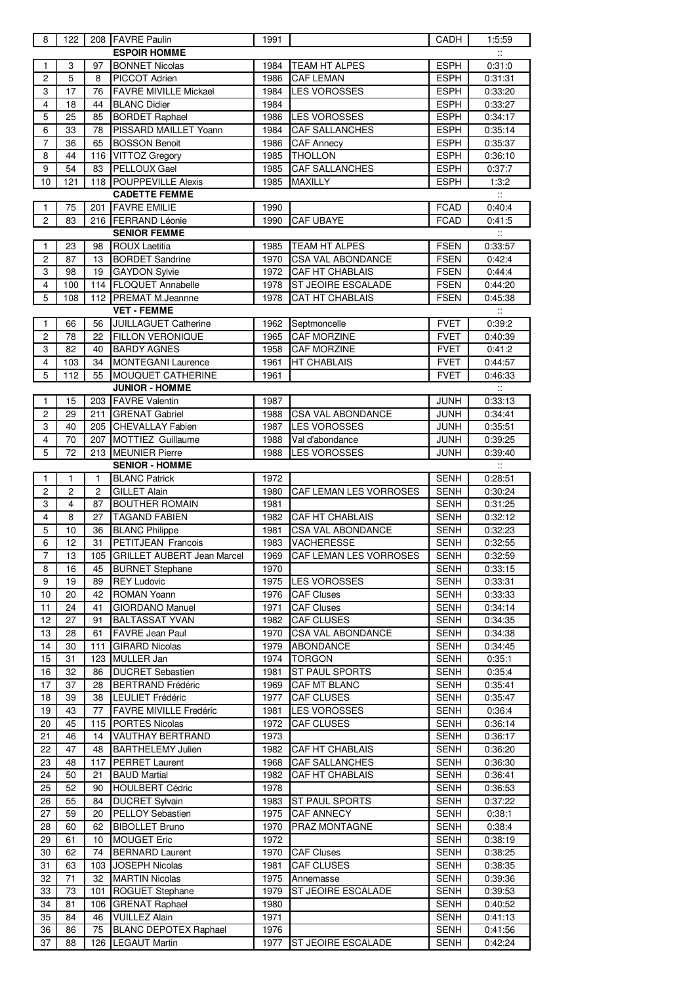| 8                                           | 122            |              | 208 FAVRE Paulin                             | 1991         |                                   | CADH                       | 1:5:59                    |  |
|---------------------------------------------|----------------|--------------|----------------------------------------------|--------------|-----------------------------------|----------------------------|---------------------------|--|
| <b>ESPOIR HOMME</b><br>$\ddot{\phantom{a}}$ |                |              |                                              |              |                                   |                            |                           |  |
| 1                                           | 3              | 97           | <b>BONNET Nicolas</b>                        | 1984         | <b>TEAM HT ALPES</b>              | <b>ESPH</b>                | 0:31:0                    |  |
| 2                                           | 5              | 8            | PICCOT Adrien                                | 1986         | <b>CAF LEMAN</b>                  | <b>ESPH</b>                | 0:31:31                   |  |
| 3                                           | 17             | 76           | <b>FAVRE MIVILLE Mickael</b>                 | 1984         | <b>LES VOROSSES</b>               | <b>ESPH</b>                | 0:33:20                   |  |
| $\overline{\mathbf{4}}$                     | 18             | 44           | <b>BLANC Didier</b>                          | 1984         |                                   | <b>ESPH</b>                | 0:33:27                   |  |
| 5                                           | 25             | 85           | <b>BORDET Raphael</b>                        | 1986         | <b>LES VOROSSES</b>               | ESPH                       | 0:34:17                   |  |
| 6                                           | 33             | 78           | PISSARD MAILLET Yoann                        | 1984         | <b>CAF SALLANCHES</b>             | <b>ESPH</b>                | 0:35:14                   |  |
| 7                                           | 36             | 65           | <b>BOSSON Benoit</b>                         | 1986         | <b>CAF Annecy</b>                 | <b>ESPH</b>                | 0:35:37                   |  |
| 8                                           | 44             | 116          | <b>VITTOZ Gregory</b>                        | 1985         | <b>THOLLON</b>                    | <b>ESPH</b>                | 0:36:10                   |  |
| 9                                           | 54             | 83           | PELLOUX Gael                                 | 1985         | <b>CAF SALLANCHES</b>             | <b>ESPH</b>                | 0:37:7                    |  |
| 10                                          | 121            | 118          | <b>POUPPEVILLE Alexis</b>                    | 1985         | <b>MAXILLY</b>                    | <b>ESPH</b>                | 1:3:2                     |  |
|                                             |                |              | <b>CADETTE FEMME</b>                         |              |                                   |                            | $\ddot{\phantom{a}}$      |  |
| 1                                           | 75             | 201          | <b>FAVRE EMILIE</b>                          | 1990         |                                   | <b>FCAD</b>                | 0:40.4                    |  |
| $\overline{c}$                              | 83             | 216          | <b>FERRAND Léonie</b><br><b>SENIOR FEMME</b> | 1990         | CAF UBAYE                         | <b>FCAD</b>                | 0.41.5<br>$\ddot{\cdot}$  |  |
| 1                                           | 23             | 98           | <b>ROUX Laetitia</b>                         | 1985         | TEAM HT ALPES                     | <b>FSEN</b>                | 0:33:57                   |  |
| $\overline{c}$                              | 87             | 13           | <b>BORDET Sandrine</b>                       | 1970         | <b>CSA VAL ABONDANCE</b>          | <b>FSEN</b>                | 0:42:4                    |  |
| 3                                           | 98             | 19           | <b>GAYDON Sylvie</b>                         | 1972         | <b>CAF HT CHABLAIS</b>            | <b>FSEN</b>                | 0.44.4                    |  |
| $\overline{\mathbf{4}}$                     | 100            | 114          | <b>FLOQUET Annabelle</b>                     | 1978         | ST JEOIRE ESCALADE                | <b>FSEN</b>                | 0:44:20                   |  |
| $\overline{5}$                              | 108            | 112          | <b>PREMAT M.Jeannne</b>                      | 1978         | CAT HT CHABLAIS                   | <b>FSEN</b>                | 0:45:38                   |  |
|                                             |                |              | <b>VET - FEMME</b>                           |              |                                   |                            | $\mathbb{Z}^*$            |  |
| 1                                           | 66             | 56           | <b>JUILLAGUET Catherine</b>                  | 1962         | Septmoncelle                      | <b>FVET</b>                | 0:39:2                    |  |
| $\overline{c}$                              | 78             | 22           | <b>FILLON VERONIQUE</b>                      | 1965         | <b>CAF MORZINE</b>                | <b>FVET</b>                | 0:40:39                   |  |
| 3                                           | 82             | 40           | <b>BARDY AGNES</b>                           | 1958         | CAF MORZINE                       | <b>FVET</b>                | 0:41:2                    |  |
| 4                                           | 103            | 34           | <b>MONTEGANI Laurence</b>                    | 1961         | <b>HT CHABLAIS</b>                | <b>FVET</b>                | 0:44:57                   |  |
| 5                                           | 112            | 55           | MOUQUET CATHERINE                            | 1961         |                                   | <b>FVET</b>                | 0:46:33                   |  |
|                                             |                |              | <b>JUNIOR - HOMME</b>                        |              |                                   |                            | $\mathcal{L}$             |  |
| 1                                           | 15             |              | 203 FAVRE Valentin                           | 1987         |                                   | <b>JUNH</b>                | 0:33:13                   |  |
| $\overline{2}$                              | 29             | 211          | <b>GRENAT Gabriel</b>                        | 1988         | <b>CSA VAL ABONDANCE</b>          | <b>JUNH</b>                | 0:34:41                   |  |
| 3                                           | 40             | 205          | <b>CHEVALLAY Fabien</b>                      | 1987         | <b>LES VOROSSES</b>               | <b>JUNH</b>                | 0:35:51                   |  |
| 4                                           | 70             | 207          | MOTTIEZ Guillaume                            | 1988         | Val d'abondance                   | <b>JUNH</b>                | 0.39.25                   |  |
| 5                                           | 72             | 213          | <b>MEUNIER Pierre</b>                        | 1988         | <b>LES VOROSSES</b>               | JUNH                       | 0:39:40                   |  |
|                                             |                |              | <b>SENIOR - HOMME</b>                        |              |                                   |                            | $\mathbb{Z}^{\mathbb{Z}}$ |  |
| 1                                           | 1              | $\mathbf{1}$ | <b>BLANC Patrick</b>                         | 1972         |                                   | <b>SENH</b>                | 0:28:51                   |  |
| $\overline{c}$                              | $\overline{c}$ | 2            | <b>GILLET Alain</b>                          | 1980         | <b>CAF LEMAN LES VORROSES</b>     | <b>SENH</b>                | 0:30:24                   |  |
| 3                                           | 4              | 87           | <b>BOUTHER ROMAIN</b>                        | 1981         |                                   | <b>SENH</b>                | 0:31:25                   |  |
| $\overline{\mathbf{4}}$                     | 8              | 27           | <b>TAGAND FABIEN</b>                         | 1982         | <b>CAF HT CHABLAIS</b>            | <b>SENH</b>                | 0.32:12                   |  |
| $\mathbf 5$                                 | 10             | 36           | <b>BLANC Philippe</b>                        | 1981         | <b>CSA VAL ABONDANCE</b>          | <b>SENH</b>                | 0:32:23                   |  |
| 6                                           | 12             | 31           | PETITJEAN Francois                           | 1983         | VACHERESSE                        | <b>SENH</b>                | 0:32:55                   |  |
| $\overline{7}$                              | 13             |              | 105 GRILLET AUBERT Jean Marcel               |              | 1969 CAF LEMAN LES VORROSES       | <b>SENH</b>                | 0:32:59                   |  |
| 8                                           | 16             | 45           | <b>BURNET Stephane</b>                       | 1970         |                                   | <b>SENH</b>                | 0:33:15                   |  |
| 9                                           | 19             | 89           | <b>REY Ludovic</b>                           | 1975         | <b>LES VOROSSES</b>               | <b>SENH</b>                | 0:33:31                   |  |
| 10                                          | 20             | 42           | ROMAN Yoann                                  | 1976         | <b>CAF Cluses</b>                 | <b>SENH</b>                | 0.33.33                   |  |
| 11                                          | 24             | 41           | GIORDANO Manuel                              | 1971         | <b>CAF Cluses</b>                 | <b>SENH</b>                | 0:34:14                   |  |
| 12                                          | 27             | 91           | <b>BALTASSAT YVAN</b>                        | 1982         | <b>CAF CLUSES</b>                 | <b>SENH</b>                | 0:34:35                   |  |
| 13                                          | 28             | 61           | FAVRE Jean Paul                              | 1970         | <b>CSA VAL ABONDANCE</b>          | <b>SENH</b>                | 0:34:38                   |  |
| 14<br>15                                    | 30<br>31       | 111          | <b>GIRARD Nicolas</b><br><b>MULLER Jan</b>   | 1979<br>1974 | <b>ABONDANCE</b><br><b>TORGON</b> | <b>SENH</b><br><b>SENH</b> | 0:34:45                   |  |
| 16                                          | 32             | 123          | <b>DUCRET Sebastien</b>                      | 1981         | ST PAUL SPORTS                    | <b>SENH</b>                | 0:35:1<br>0:35:4          |  |
| 17                                          | 37             | 86<br>28     | <b>BERTRAND Frédéric</b>                     | 1969         | CAF MT BLANC                      | <b>SENH</b>                | 0:35:41                   |  |
| 18                                          | 39             | 38           | LEULIET Frédéric                             | 1977         | <b>CAF CLUSES</b>                 | <b>SENH</b>                | 0:35:47                   |  |
| 19                                          | 43             | 77           | FAVRE MIVILLE Fredéric                       | 1981         | <b>LES VOROSSES</b>               | <b>SENH</b>                | 0:36:4                    |  |
| 20                                          | 45             | 115          | <b>PORTES Nicolas</b>                        | 1972         | <b>CAF CLUSES</b>                 | <b>SENH</b>                | 0:36:14                   |  |
| 21                                          | 46             | 14           | VAUTHAY BERTRAND                             | 1973         |                                   | <b>SENH</b>                | 0:36:17                   |  |
| 22                                          | 47             | 48           | <b>BARTHELEMY Julien</b>                     | 1982         | CAF HT CHABLAIS                   | <b>SENH</b>                | 0:36:20                   |  |
| 23                                          | 48             | 117          | <b>PERRET Laurent</b>                        | 1968         | <b>CAF SALLANCHES</b>             | <b>SENH</b>                | 0.36.30                   |  |
| 24                                          | 50             | 21           | <b>BAUD Martial</b>                          | 1982         | CAF HT CHABLAIS                   | <b>SENH</b>                | 0:36:41                   |  |
| 25                                          | 52             | 90           | <b>HOULBERT Cédric</b>                       | 1978         |                                   | <b>SENH</b>                | 0:36:53                   |  |
| 26                                          | 55             | 84           | <b>DUCRET Sylvain</b>                        | 1983         | ST PAUL SPORTS                    | <b>SENH</b>                | 0.37:22                   |  |
| 27                                          | 59             | 20           | PELLOY Sebastien                             | 1975         | <b>CAF ANNECY</b>                 | <b>SENH</b>                | 0.38.1                    |  |
| 28                                          | 60             | 62           | <b>BIBOLLET Bruno</b>                        | 1970         | PRAZ MONTAGNE                     | <b>SENH</b>                | 0.38.4                    |  |
| 29                                          | 61             | 10           | <b>MOUGET Eric</b>                           | 1972         |                                   | <b>SENH</b>                | 0.38.19                   |  |
| 30                                          | 62             | 74           | <b>BERNARD Laurent</b>                       | 1970         | <b>CAF Cluses</b>                 | <b>SENH</b>                | 0:38:25                   |  |
| 31                                          | 63             | 103          | <b>JOSEPH Nicolas</b>                        | 1981         | CAF CLUSES                        | <b>SENH</b>                | 0:38:35                   |  |
| 32                                          | 71             | 32           | <b>MARTIN Nicolas</b>                        | 1975         | Annemasse                         | <b>SENH</b>                | 0:39:36                   |  |
| 33                                          | 73             | 101          | ROGUET Stephane                              | 1979         | <b>ST JEOIRE ESCALADE</b>         | <b>SENH</b>                | 0:39:53                   |  |
| 34                                          | 81             | 106          | <b>GRENAT Raphael</b>                        | 1980         |                                   | <b>SENH</b>                | 0:40:52                   |  |
| 35                                          | 84             | 46           | <b>VUILLEZ Alain</b>                         | 1971         |                                   | <b>SENH</b>                | 0.41.13                   |  |
| 36                                          | 86             | 75           | <b>BLANC DEPOTEX Raphael</b>                 | 1976         |                                   | <b>SENH</b>                | 0:41:56                   |  |
| 37                                          | 88             | 126          | <b>LEGAUT Martin</b>                         | 1977         | <b>ST JEOIRE ESCALADE</b>         | <b>SENH</b>                | 0.42:24                   |  |